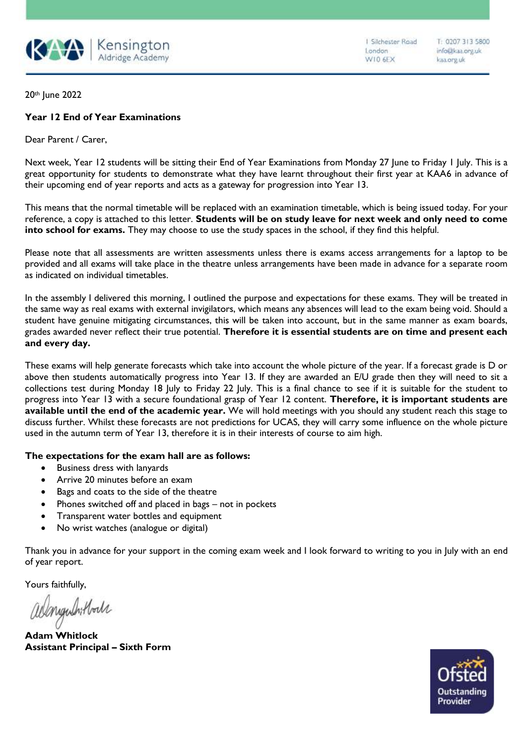

I Silchester Road London W10 6EX

T: 0207 313 5800 info@kaa.org.uk kaa.org.uk

20th June 2022

## **Year 12 End of Year Examinations**

Dear Parent / Carer,

Next week, Year 12 students will be sitting their End of Year Examinations from Monday 27 June to Friday 1 July. This is a great opportunity for students to demonstrate what they have learnt throughout their first year at KAA6 in advance of their upcoming end of year reports and acts as a gateway for progression into Year 13.

This means that the normal timetable will be replaced with an examination timetable, which is being issued today. For your reference, a copy is attached to this letter. **Students will be on study leave for next week and only need to come into school for exams.** They may choose to use the study spaces in the school, if they find this helpful.

Please note that all assessments are written assessments unless there is exams access arrangements for a laptop to be provided and all exams will take place in the theatre unless arrangements have been made in advance for a separate room as indicated on individual timetables.

In the assembly I delivered this morning, I outlined the purpose and expectations for these exams. They will be treated in the same way as real exams with external invigilators, which means any absences will lead to the exam being void. Should a student have genuine mitigating circumstances, this will be taken into account, but in the same manner as exam boards, grades awarded never reflect their true potential. **Therefore it is essential students are on time and present each and every day.** 

These exams will help generate forecasts which take into account the whole picture of the year. If a forecast grade is D or above then students automatically progress into Year 13. If they are awarded an E/U grade then they will need to sit a collections test during Monday 18 July to Friday 22 July. This is a final chance to see if it is suitable for the student to progress into Year 13 with a secure foundational grasp of Year 12 content. **Therefore, it is important students are available until the end of the academic year.** We will hold meetings with you should any student reach this stage to discuss further. Whilst these forecasts are not predictions for UCAS, they will carry some influence on the whole picture used in the autumn term of Year 13, therefore it is in their interests of course to aim high.

## **The expectations for the exam hall are as follows:**

- Business dress with lanyards
- Arrive 20 minutes before an exam
- Bags and coats to the side of the theatre
- Phones switched off and placed in bags not in pockets
- Transparent water bottles and equipment
- No wrist watches (analogue or digital)

Thank you in advance for your support in the coming exam week and I look forward to writing to you in July with an end of year report.

Yours faithfully,

admyndritboll

**Adam Whitlock Assistant Principal – Sixth Form**